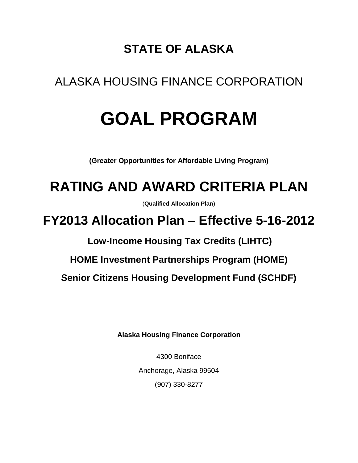## **STATE OF ALASKA**

## ALASKA HOUSING FINANCE CORPORATION

# **GOAL PROGRAM**

**(Greater Opportunities for Affordable Living Program)**

# **RATING AND AWARD CRITERIA PLAN**

(**Qualified Allocation Plan**)

**FY2013 Allocation Plan – Effective 5-16-2012**

**Low-Income Housing Tax Credits (LIHTC)**

**HOME Investment Partnerships Program (HOME)**

**Senior Citizens Housing Development Fund (SCHDF)**

**Alaska Housing Finance Corporation**

4300 Boniface Anchorage, Alaska 99504 (907) 330-8277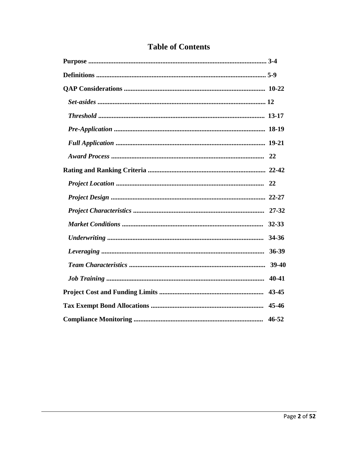| 34-36     |
|-----------|
| 36-39     |
| 39-40     |
| 40-41     |
| 43-45     |
|           |
| $46 - 52$ |

## **Table of Contents**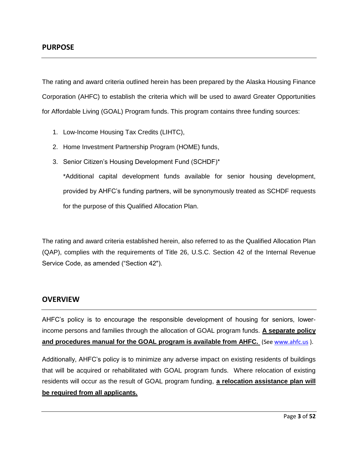The rating and award criteria outlined herein has been prepared by the Alaska Housing Finance Corporation (AHFC) to establish the criteria which will be used to award Greater Opportunities for Affordable Living (GOAL) Program funds. This program contains three funding sources:

- 1. Low-Income Housing Tax Credits (LIHTC),
- 2. Home Investment Partnership Program (HOME) funds,
- 3. Senior Citizen's Housing Development Fund (SCHDF)\*

\*Additional capital development funds available for senior housing development, provided by AHFC's funding partners, will be synonymously treated as SCHDF requests for the purpose of this Qualified Allocation Plan.

The rating and award criteria established herein, also referred to as the Qualified Allocation Plan (QAP), complies with the requirements of Title 26, U.S.C. Section 42 of the Internal Revenue Service Code, as amended ("Section 42").

#### **OVERVIEW**

AHFC's policy is to encourage the responsible development of housing for seniors, lowerincome persons and families through the allocation of GOAL program funds. **A separate policy and procedures manual for the GOAL program is available from AHFC.** (See [www.ahfc.us](http://www.ahfc.us/) ).

Additionally, AHFC's policy is to minimize any adverse impact on existing residents of buildings that will be acquired or rehabilitated with GOAL program funds. Where relocation of existing residents will occur as the result of GOAL program funding, **a relocation assistance plan will be required from all applicants.**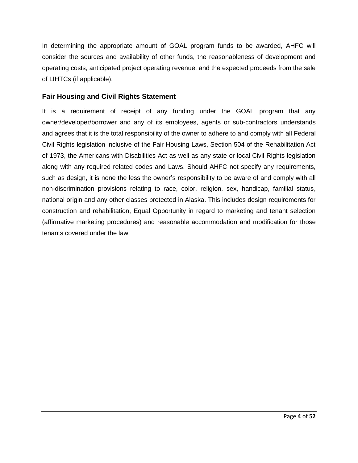In determining the appropriate amount of GOAL program funds to be awarded, AHFC will consider the sources and availability of other funds, the reasonableness of development and operating costs, anticipated project operating revenue, and the expected proceeds from the sale of LIHTCs (if applicable).

#### **Fair Housing and Civil Rights Statement**

It is a requirement of receipt of any funding under the GOAL program that any owner/developer/borrower and any of its employees, agents or sub-contractors understands and agrees that it is the total responsibility of the owner to adhere to and comply with all Federal Civil Rights legislation inclusive of the Fair Housing Laws, Section 504 of the Rehabilitation Act of 1973, the Americans with Disabilities Act as well as any state or local Civil Rights legislation along with any required related codes and Laws. Should AHFC not specify any requirements, such as design, it is none the less the owner's responsibility to be aware of and comply with all non-discrimination provisions relating to race, color, religion, sex, handicap, familial status, national origin and any other classes protected in Alaska. This includes design requirements for construction and rehabilitation, Equal Opportunity in regard to marketing and tenant selection (affirmative marketing procedures) and reasonable accommodation and modification for those tenants covered under the law.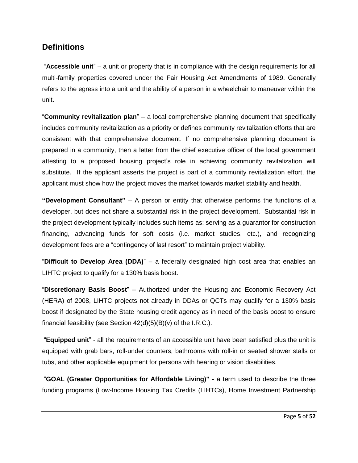## **Definitions**

"**Accessible unit**" – a unit or property that is in compliance with the design requirements for all multi-family properties covered under the Fair Housing Act Amendments of 1989. Generally refers to the egress into a unit and the ability of a person in a wheelchair to maneuver within the unit.

"**Community revitalization plan**" – a local comprehensive planning document that specifically includes community revitalization as a priority or defines community revitalization efforts that are consistent with that comprehensive document. If no comprehensive planning document is prepared in a community, then a letter from the chief executive officer of the local government attesting to a proposed housing project's role in achieving community revitalization will substitute. If the applicant asserts the project is part of a community revitalization effort, the applicant must show how the project moves the market towards market stability and health.

**"Development Consultant"** – A person or entity that otherwise performs the functions of a developer, but does not share a substantial risk in the project development. Substantial risk in the project development typically includes such items as: serving as a guarantor for construction financing, advancing funds for soft costs (i.e. market studies, etc.), and recognizing development fees are a "contingency of last resort" to maintain project viability.

"**Difficult to Develop Area (DDA)**" – a federally designated high cost area that enables an LIHTC project to qualify for a 130% basis boost.

"**Discretionary Basis Boost**" – Authorized under the Housing and Economic Recovery Act (HERA) of 2008, LIHTC projects not already in DDAs or QCTs may qualify for a 130% basis boost if designated by the State housing credit agency as in need of the basis boost to ensure financial feasibility (see Section  $42(d)(5)(B)(v)$  of the I.R.C.).

"**Equipped unit**" - all the requirements of an accessible unit have been satisfied plus the unit is equipped with grab bars, roll-under counters, bathrooms with roll-in or seated shower stalls or tubs, and other applicable equipment for persons with hearing or vision disabilities.

"**GOAL (Greater Opportunities for Affordable Living)"** - a term used to describe the three funding programs (Low-Income Housing Tax Credits (LIHTCs), Home Investment Partnership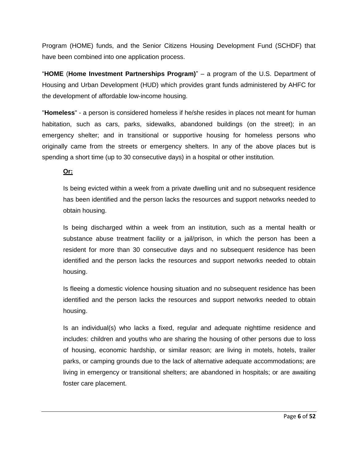Program (HOME) funds, and the Senior Citizens Housing Development Fund (SCHDF) that have been combined into one application process.

"**HOME** (**Home Investment Partnerships Program)**" – a program of the U.S. Department of Housing and Urban Development (HUD) which provides grant funds administered by AHFC for the development of affordable low-income housing.

"**Homeless**" - a person is considered homeless if he/she resides in places not meant for human habitation, such as cars, parks, sidewalks, abandoned buildings (on the street); in an emergency shelter; and in transitional or supportive housing for homeless persons who originally came from the streets or emergency shelters. In any of the above places but is spending a short time (up to 30 consecutive days) in a hospital or other institution.

**Or:** 

Is being evicted within a week from a private dwelling unit and no subsequent residence has been identified and the person lacks the resources and support networks needed to obtain housing.

Is being discharged within a week from an institution, such as a mental health or substance abuse treatment facility or a jail/prison, in which the person has been a resident for more than 30 consecutive days and no subsequent residence has been identified and the person lacks the resources and support networks needed to obtain housing.

Is fleeing a domestic violence housing situation and no subsequent residence has been identified and the person lacks the resources and support networks needed to obtain housing.

Is an individual(s) who lacks a fixed, regular and adequate nighttime residence and includes: children and youths who are sharing the housing of other persons due to loss of housing, economic hardship, or similar reason; are living in motels, hotels, trailer parks, or camping grounds due to the lack of alternative adequate accommodations; are living in emergency or transitional shelters; are abandoned in hospitals; or are awaiting foster care placement.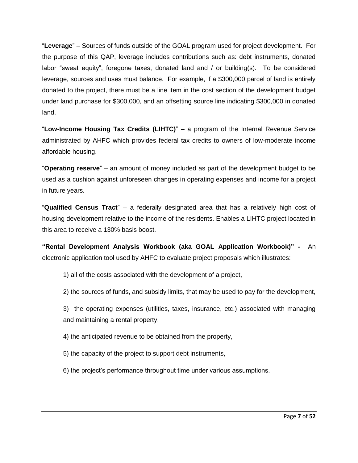"**Leverage**" – Sources of funds outside of the GOAL program used for project development. For the purpose of this QAP, leverage includes contributions such as: debt instruments, donated labor "sweat equity", foregone taxes, donated land and / or building(s). To be considered leverage, sources and uses must balance. For example, if a \$300,000 parcel of land is entirely donated to the project, there must be a line item in the cost section of the development budget under land purchase for \$300,000, and an offsetting source line indicating \$300,000 in donated land.

"**Low-Income Housing Tax Credits (LIHTC)**" – a program of the Internal Revenue Service administrated by AHFC which provides federal tax credits to owners of low-moderate income affordable housing.

"**Operating reserve**" – an amount of money included as part of the development budget to be used as a cushion against unforeseen changes in operating expenses and income for a project in future years.

"**Qualified Census Tract**" – a federally designated area that has a relatively high cost of housing development relative to the income of the residents. Enables a LIHTC project located in this area to receive a 130% basis boost.

**"Rental Development Analysis Workbook (aka GOAL Application Workbook)" -** An electronic application tool used by AHFC to evaluate project proposals which illustrates:

1) all of the costs associated with the development of a project,

2) the sources of funds, and subsidy limits, that may be used to pay for the development,

3) the operating expenses (utilities, taxes, insurance, etc.) associated with managing and maintaining a rental property,

4) the anticipated revenue to be obtained from the property,

5) the capacity of the project to support debt instruments,

6) the project's performance throughout time under various assumptions.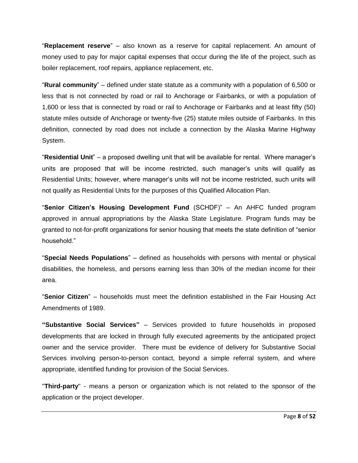"**Replacement reserve**" – also known as a reserve for capital replacement. An amount of money used to pay for major capital expenses that occur during the life of the project, such as boiler replacement, roof repairs, appliance replacement, etc.

"**Rural community**" – defined under state statute as a community with a population of 6,500 or less that is not connected by road or rail to Anchorage or Fairbanks, or with a population of 1,600 or less that is connected by road or rail to Anchorage or Fairbanks and at least fifty (50) statute miles outside of Anchorage or twenty-five (25) statute miles outside of Fairbanks. In this definition, connected by road does not include a connection by the Alaska Marine Highway System.

"**Residential Unit**" – a proposed dwelling unit that will be available for rental. Where manager's units are proposed that will be income restricted, such manager's units will qualify as Residential Units; however, where manager's units will not be income restricted, such units will not qualify as Residential Units for the purposes of this Qualified Allocation Plan.

"**Senior Citizen's Housing Development Fund** (SCHDF)" – An AHFC funded program approved in annual appropriations by the Alaska State Legislature. Program funds may be granted to not-for-profit organizations for senior housing that meets the state definition of "senior household."

"**Special Needs Populations**" – defined as households with persons with mental or physical disabilities, the homeless, and persons earning less than 30% of the median income for their area.

"**Senior Citizen**" – households must meet the definition established in the Fair Housing Act Amendments of 1989.

**"Substantive Social Services"** – Services provided to future households in proposed developments that are locked in through fully executed agreements by the anticipated project owner and the service provider. There must be evidence of delivery for Substantive Social Services involving person-to-person contact, beyond a simple referral system, and where appropriate, identified funding for provision of the Social Services.

"**Third-party**" - means a person or organization which is not related to the sponsor of the application or the project developer.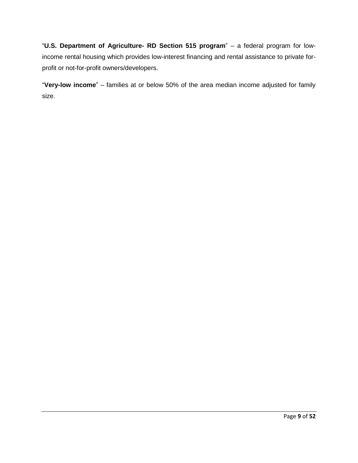"**U.S. Department of Agriculture- RD Section 515 program**" – a federal program for lowincome rental housing which provides low-interest financing and rental assistance to private forprofit or not-for-profit owners/developers.

"**Very-low income**" – families at or below 50% of the area median income adjusted for family size.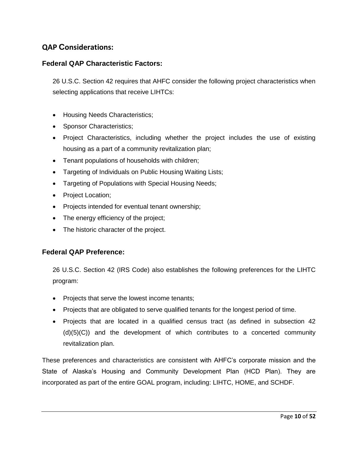## **QAP Considerations:**

#### **Federal QAP Characteristic Factors:**

26 U.S.C. Section 42 requires that AHFC consider the following project characteristics when selecting applications that receive LIHTCs:

- Housing Needs Characteristics;
- Sponsor Characteristics;
- Project Characteristics, including whether the project includes the use of existing housing as a part of a community revitalization plan;
- Tenant populations of households with children;
- Targeting of Individuals on Public Housing Waiting Lists;
- Targeting of Populations with Special Housing Needs;
- Project Location;
- Projects intended for eventual tenant ownership;
- The energy efficiency of the project;
- The historic character of the project.

#### **Federal QAP Preference:**

26 U.S.C. Section 42 (IRS Code) also establishes the following preferences for the LIHTC program:

- Projects that serve the lowest income tenants;
- Projects that are obligated to serve qualified tenants for the longest period of time.
- Projects that are located in a qualified census tract (as defined in subsection 42 (d)(5)(C)) and the development of which contributes to a concerted community revitalization plan.

These preferences and characteristics are consistent with AHFC's corporate mission and the State of Alaska's Housing and Community Development Plan (HCD Plan). They are incorporated as part of the entire GOAL program, including: LIHTC, HOME, and SCHDF.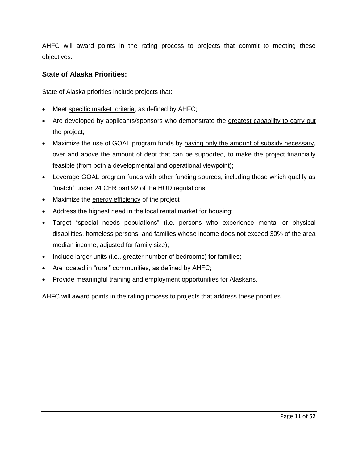AHFC will award points in the rating process to projects that commit to meeting these objectives.

#### **State of Alaska Priorities:**

State of Alaska priorities include projects that:

- Meet specific market criteria, as defined by AHFC;
- Are developed by applicants/sponsors who demonstrate the greatest capability to carry out the project;
- Maximize the use of GOAL program funds by having only the amount of subsidy necessary, over and above the amount of debt that can be supported, to make the project financially feasible (from both a developmental and operational viewpoint);
- Leverage GOAL program funds with other funding sources, including those which qualify as "match" under 24 CFR part 92 of the HUD regulations;
- Maximize the energy efficiency of the project
- Address the highest need in the local rental market for housing;
- Target "special needs populations" (i.e. persons who experience mental or physical disabilities, homeless persons, and families whose income does not exceed 30% of the area median income, adjusted for family size);
- Include larger units (i.e., greater number of bedrooms) for families;
- Are located in "rural" communities, as defined by AHFC;
- Provide meaningful training and employment opportunities for Alaskans.

AHFC will award points in the rating process to projects that address these priorities.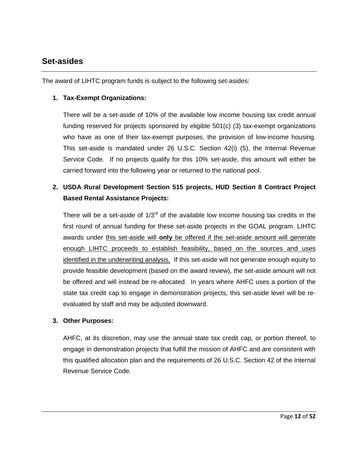### **Set-asides**

The award of LIHTC program funds is subject to the following set-asides:

#### **1. Tax-Exempt Organizations:**

There will be a set-aside of 10% of the available low income housing tax credit annual funding reserved for projects sponsored by eligible 501(c) (3) tax-exempt organizations who have as one of their tax-exempt purposes, the provision of low-income housing. This set-aside is mandated under 26 U.S.C. Section 42(i) (5), the Internal Revenue Service Code*.* If no projects qualify for this 10% set-aside, this amount will either be carried forward into the following year or returned to the national pool.

## **2. USDA Rural Development Section 515 projects, HUD Section 8 Contract Project Based Rental Assistance Projects:**

There will be a set-aside of  $1/3<sup>rd</sup>$  of the available low income housing tax credits in the first round of annual funding for these set-aside projects in the GOAL program. LIHTC awards under this set-aside will **only** be offered if the set-aside amount will generate enough LIHTC proceeds to establish feasibility, based on the sources and uses identified in the underwriting analysis*.* If this set-aside will not generate enough equity to provide feasible development (based on the award review), the set-aside amount will not be offered and will instead be re-allocated. In years where AHFC uses a portion of the state tax credit cap to engage in demonstration projects, this set-aside level will be reevaluated by staff and may be adjusted downward.

#### **3. Other Purposes:**

AHFC, at its discretion, may use the annual state tax credit cap, or portion thereof, to engage in demonstration projects that fulfill the mission of AHFC and are consistent with this qualified allocation plan and the requirements of 26 U.S.C. Section 42 of the Internal Revenue Service Code*.*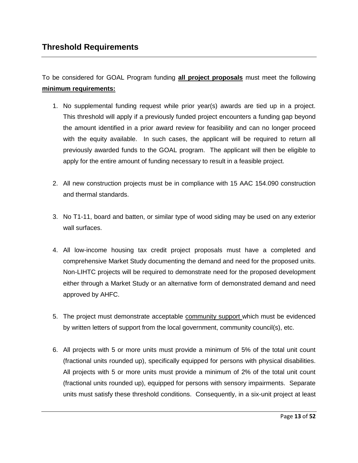To be considered for GOAL Program funding **all project proposals** must meet the following **minimum requirements:**

- 1. No supplemental funding request while prior year(s) awards are tied up in a project. This threshold will apply if a previously funded project encounters a funding gap beyond the amount identified in a prior award review for feasibility and can no longer proceed with the equity available. In such cases, the applicant will be required to return all previously awarded funds to the GOAL program. The applicant will then be eligible to apply for the entire amount of funding necessary to result in a feasible project.
- 2. All new construction projects must be in compliance with 15 AAC 154.090 construction and thermal standards.
- 3. No T1-11, board and batten, or similar type of wood siding may be used on any exterior wall surfaces.
- 4. All low-income housing tax credit project proposals must have a completed and comprehensive Market Study documenting the demand and need for the proposed units. Non-LIHTC projects will be required to demonstrate need for the proposed development either through a Market Study or an alternative form of demonstrated demand and need approved by AHFC.
- 5. The project must demonstrate acceptable community support which must be evidenced by written letters of support from the local government, community council(s), etc.
- 6. All projects with 5 or more units must provide a minimum of 5% of the total unit count (fractional units rounded up), specifically equipped for persons with physical disabilities. All projects with 5 or more units must provide a minimum of 2% of the total unit count (fractional units rounded up), equipped for persons with sensory impairments. Separate units must satisfy these threshold conditions. Consequently, in a six-unit project at least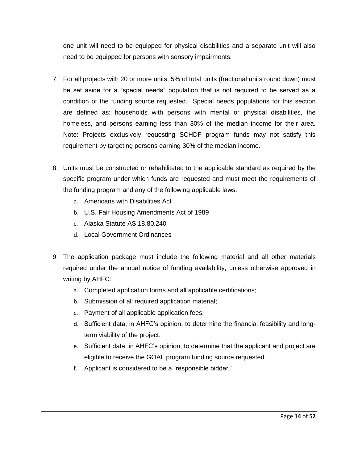one unit will need to be equipped for physical disabilities and a separate unit will also need to be equipped for persons with sensory impairments.

- 7. For all projects with 20 or more units, 5% of total units (fractional units round down) must be set aside for a "special needs" population that is not required to be served as a condition of the funding source requested. Special needs populations for this section are defined as: households with persons with mental or physical disabilities, the homeless, and persons earning less than 30% of the median income for their area. Note: Projects exclusively requesting SCHDF program funds may not satisfy this requirement by targeting persons earning 30% of the median income.
- 8. Units must be constructed or rehabilitated to the applicable standard as required by the specific program under which funds are requested and must meet the requirements of the funding program and any of the following applicable laws:
	- a. Americans with Disabilities Act
	- b. U.S. Fair Housing Amendments Act of 1989
	- c. Alaska Statute AS 18.80.240
	- d. Local Government Ordinances
- 9. The application package must include the following material and all other materials required under the annual notice of funding availability, unless otherwise approved in writing by AHFC:
	- a. Completed application forms and all applicable certifications;
	- b. Submission of all required application material;
	- c. Payment of all applicable application fees;
	- d. Sufficient data, in AHFC's opinion, to determine the financial feasibility and longterm viability of the project.
	- e. Sufficient data, in AHFC's opinion, to determine that the applicant and project are eligible to receive the GOAL program funding source requested.
	- f. Applicant is considered to be a "responsible bidder."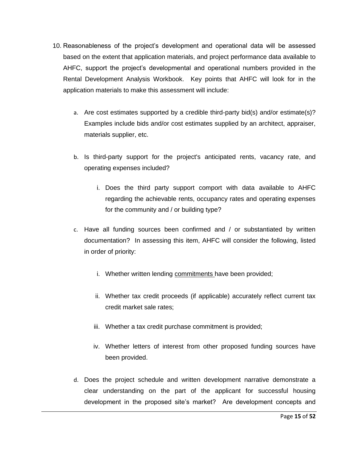- 10. Reasonableness of the project's development and operational data will be assessed based on the extent that application materials, and project performance data available to AHFC, support the project's developmental and operational numbers provided in the Rental Development Analysis Workbook. Key points that AHFC will look for in the application materials to make this assessment will include:
	- a. Are cost estimates supported by a credible third-party bid(s) and/or estimate(s)? Examples include bids and/or cost estimates supplied by an architect, appraiser, materials supplier, etc.
	- b. Is third-party support for the project's anticipated rents, vacancy rate, and operating expenses included?
		- i. Does the third party support comport with data available to AHFC regarding the achievable rents, occupancy rates and operating expenses for the community and / or building type?
	- c. Have all funding sources been confirmed and / or substantiated by written documentation? In assessing this item, AHFC will consider the following, listed in order of priority:
		- i. Whether written lending commitments have been provided;
		- ii. Whether tax credit proceeds (if applicable) accurately reflect current tax credit market sale rates;
		- iii. Whether a tax credit purchase commitment is provided;
		- iv. Whether letters of interest from other proposed funding sources have been provided.
	- d. Does the project schedule and written development narrative demonstrate a clear understanding on the part of the applicant for successful housing development in the proposed site's market? Are development concepts and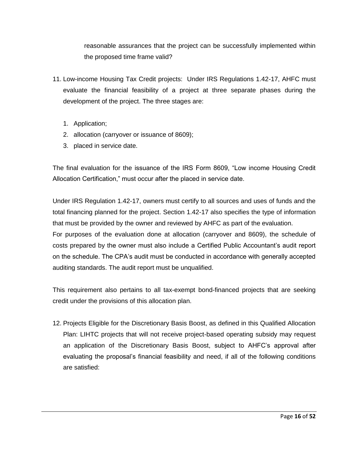reasonable assurances that the project can be successfully implemented within the proposed time frame valid?

- 11. Low-income Housing Tax Credit projects: Under IRS Regulations 1.42-17, AHFC must evaluate the financial feasibility of a project at three separate phases during the development of the project. The three stages are:
	- 1. Application;
	- 2. allocation (carryover or issuance of 8609);
	- 3. placed in service date.

The final evaluation for the issuance of the IRS Form 8609, "Low income Housing Credit Allocation Certification," must occur after the placed in service date.

Under IRS Regulation 1.42-17, owners must certify to all sources and uses of funds and the total financing planned for the project. Section 1.42-17 also specifies the type of information that must be provided by the owner and reviewed by AHFC as part of the evaluation.

For purposes of the evaluation done at allocation (carryover and 8609), the schedule of costs prepared by the owner must also include a Certified Public Accountant's audit report on the schedule. The CPA's audit must be conducted in accordance with generally accepted auditing standards. The audit report must be unqualified.

This requirement also pertains to all tax-exempt bond-financed projects that are seeking credit under the provisions of this allocation plan.

12. Projects Eligible for the Discretionary Basis Boost, as defined in this Qualified Allocation Plan: LIHTC projects that will not receive project-based operating subsidy may request an application of the Discretionary Basis Boost, subject to AHFC's approval after evaluating the proposal's financial feasibility and need, if all of the following conditions are satisfied: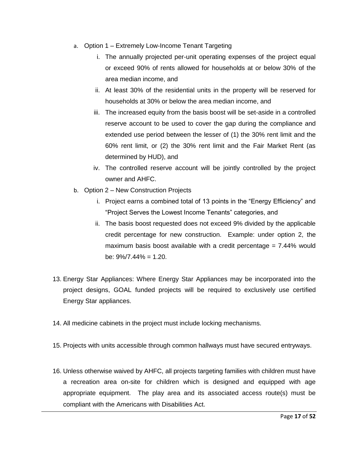- a. Option 1 Extremely Low-Income Tenant Targeting
	- i. The annually projected per-unit operating expenses of the project equal or exceed 90% of rents allowed for households at or below 30% of the area median income, and
	- ii. At least 30% of the residential units in the property will be reserved for households at 30% or below the area median income, and
	- iii. The increased equity from the basis boost will be set-aside in a controlled reserve account to be used to cover the gap during the compliance and extended use period between the lesser of (1) the 30% rent limit and the 60% rent limit, or (2) the 30% rent limit and the Fair Market Rent (as determined by HUD), and
	- iv. The controlled reserve account will be jointly controlled by the project owner and AHFC.
- b. Option 2 New Construction Projects
	- i. Project earns a combined total of 13 points in the "Energy Efficiency" and "Project Serves the Lowest Income Tenants" categories, and
	- ii. The basis boost requested does not exceed 9% divided by the applicable credit percentage for new construction. Example: under option 2, the maximum basis boost available with a credit percentage  $= 7.44\%$  would be:  $9\%/7.44\% = 1.20$ .
- 13. Energy Star Appliances: Where Energy Star Appliances may be incorporated into the project designs, GOAL funded projects will be required to exclusively use certified Energy Star appliances.
- 14. All medicine cabinets in the project must include locking mechanisms.
- 15. Projects with units accessible through common hallways must have secured entryways.
- 16. Unless otherwise waived by AHFC, all projects targeting families with children must have a recreation area on-site for children which is designed and equipped with age appropriate equipment. The play area and its associated access route(s) must be compliant with the Americans with Disabilities Act.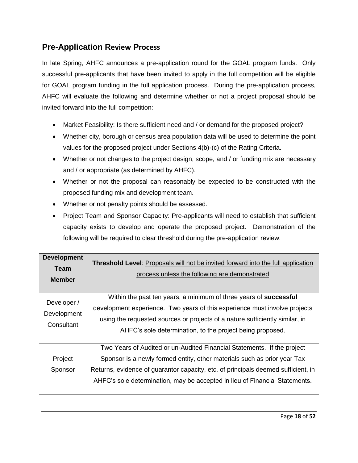## **Pre-Application Review Process**

In late Spring, AHFC announces a pre-application round for the GOAL program funds. Only successful pre-applicants that have been invited to apply in the full competition will be eligible for GOAL program funding in the full application process. During the pre-application process, AHFC will evaluate the following and determine whether or not a project proposal should be invited forward into the full competition:

- Market Feasibility: Is there sufficient need and / or demand for the proposed project?
- Whether city, borough or census area population data will be used to determine the point values for the proposed project under Sections 4(b)-(c) of the Rating Criteria.
- Whether or not changes to the project design, scope, and / or funding mix are necessary and / or appropriate (as determined by AHFC).
- Whether or not the proposal can reasonably be expected to be constructed with the proposed funding mix and development team.
- Whether or not penalty points should be assessed.
- Project Team and Sponsor Capacity: Pre-applicants will need to establish that sufficient capacity exists to develop and operate the proposed project. Demonstration of the following will be required to clear threshold during the pre-application review:

| <b>Development</b><br><b>Team</b><br><b>Member</b> | <b>Threshold Level:</b> Proposals will not be invited forward into the full application<br>process unless the following are demonstrated                                                                                                                                                                                |
|----------------------------------------------------|-------------------------------------------------------------------------------------------------------------------------------------------------------------------------------------------------------------------------------------------------------------------------------------------------------------------------|
| Developer /<br>Development<br>Consultant           | Within the past ten years, a minimum of three years of <b>successful</b><br>development experience. Two years of this experience must involve projects<br>using the requested sources or projects of a nature sufficiently similar, in<br>AHFC's sole determination, to the project being proposed.                     |
| Project<br>Sponsor                                 | Two Years of Audited or un-Audited Financial Statements. If the project<br>Sponsor is a newly formed entity, other materials such as prior year Tax<br>Returns, evidence of guarantor capacity, etc. of principals deemed sufficient, in<br>AHFC's sole determination, may be accepted in lieu of Financial Statements. |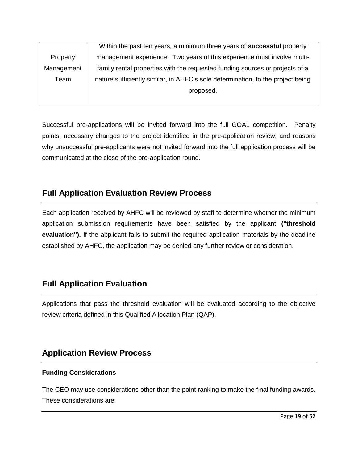|            | Within the past ten years, a minimum three years of <b>successful</b> property  |
|------------|---------------------------------------------------------------------------------|
| Property   | management experience. Two years of this experience must involve multi-         |
| Management | family rental properties with the requested funding sources or projects of a    |
| Team       | nature sufficiently similar, in AHFC's sole determination, to the project being |
|            | proposed.                                                                       |
|            |                                                                                 |

Successful pre-applications will be invited forward into the full GOAL competition. Penalty points, necessary changes to the project identified in the pre-application review, and reasons why unsuccessful pre-applicants were not invited forward into the full application process will be communicated at the close of the pre-application round.

## **Full Application Evaluation Review Process**

Each application received by AHFC will be reviewed by staff to determine whether the minimum application submission requirements have been satisfied by the applicant **("threshold evaluation").** If the applicant fails to submit the required application materials by the deadline established by AHFC, the application may be denied any further review or consideration.

## **Full Application Evaluation**

Applications that pass the threshold evaluation will be evaluated according to the objective review criteria defined in this Qualified Allocation Plan (QAP).

## **Application Review Process**

#### **Funding Considerations**

The CEO may use considerations other than the point ranking to make the final funding awards. These considerations are: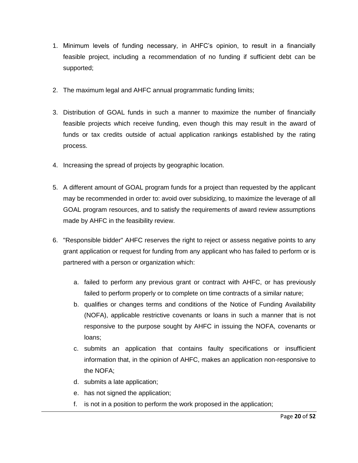- 1. Minimum levels of funding necessary, in AHFC's opinion, to result in a financially feasible project, including a recommendation of no funding if sufficient debt can be supported;
- 2. The maximum legal and AHFC annual programmatic funding limits;
- 3. Distribution of GOAL funds in such a manner to maximize the number of financially feasible projects which receive funding, even though this may result in the award of funds or tax credits outside of actual application rankings established by the rating process.
- 4. Increasing the spread of projects by geographic location.
- 5. A different amount of GOAL program funds for a project than requested by the applicant may be recommended in order to: avoid over subsidizing, to maximize the leverage of all GOAL program resources, and to satisfy the requirements of award review assumptions made by AHFC in the feasibility review.
- 6. "Responsible bidder" AHFC reserves the right to reject or assess negative points to any grant application or request for funding from any applicant who has failed to perform or is partnered with a person or organization which:
	- a. failed to perform any previous grant or contract with AHFC, or has previously failed to perform properly or to complete on time contracts of a similar nature;
	- b. qualifies or changes terms and conditions of the Notice of Funding Availability (NOFA), applicable restrictive covenants or loans in such a manner that is not responsive to the purpose sought by AHFC in issuing the NOFA, covenants or loans;
	- c. submits an application that contains faulty specifications or insufficient information that, in the opinion of AHFC, makes an application non-responsive to the NOFA;
	- d. submits a late application;
	- e. has not signed the application;
	- f. is not in a position to perform the work proposed in the application;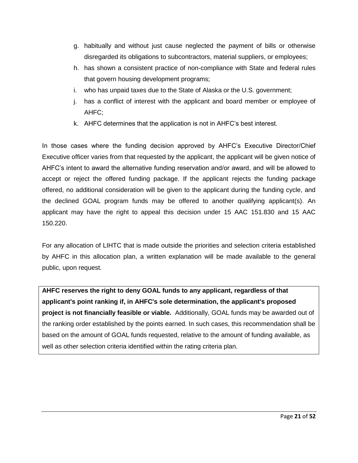- g. habitually and without just cause neglected the payment of bills or otherwise disregarded its obligations to subcontractors, material suppliers, or employees;
- h. has shown a consistent practice of non-compliance with State and federal rules that govern housing development programs;
- i. who has unpaid taxes due to the State of Alaska or the U.S. government;
- j. has a conflict of interest with the applicant and board member or employee of AHFC;
- k. AHFC determines that the application is not in AHFC's best interest.

In those cases where the funding decision approved by AHFC's Executive Director/Chief Executive officer varies from that requested by the applicant, the applicant will be given notice of AHFC's intent to award the alternative funding reservation and/or award, and will be allowed to accept or reject the offered funding package. If the applicant rejects the funding package offered, no additional consideration will be given to the applicant during the funding cycle, and the declined GOAL program funds may be offered to another qualifying applicant(s). An applicant may have the right to appeal this decision under 15 AAC 151.830 and 15 AAC 150.220.

For any allocation of LIHTC that is made outside the priorities and selection criteria established by AHFC in this allocation plan, a written explanation will be made available to the general public, upon request.

**AHFC reserves the right to deny GOAL funds to any applicant, regardless of that applicant's point ranking if, in AHFC's sole determination, the applicant's proposed project is not financially feasible or viable.** Additionally, GOAL funds may be awarded out of the ranking order established by the points earned. In such cases, this recommendation shall be based on the amount of GOAL funds requested, relative to the amount of funding available, as well as other selection criteria identified within the rating criteria plan.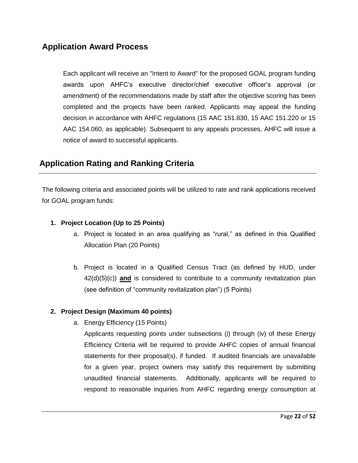## **Application Award Process**

Each applicant will receive an "Intent to Award" for the proposed GOAL program funding awards upon AHFC's executive director/chief executive officer's approval (or amendment) of the recommendations made by staff after the objective scoring has been completed and the projects have been ranked. Applicants may appeal the funding decision in accordance with AHFC regulations (15 AAC 151.830, 15 AAC 151.220 or 15 AAC 154.060, as applicable). Subsequent to any appeals processes, AHFC will issue a notice of award to successful applicants.

## **Application Rating and Ranking Criteria**

The following criteria and associated points will be utilized to rate and rank applications received for GOAL program funds:

#### **1. Project Location (Up to 25 Points)**

- a. Project is located in an area qualifying as "rural," as defined in this Qualified Allocation Plan (20 Points)
- b. Project is located in a Qualified Census Tract (as defined by HUD, under 42(d)(5)(c)) **and** is considered to contribute to a community revitalization plan (see definition of "community revitalization plan") (5 Points)

#### **2. Project Design (Maximum 40 points)**

a. Energy Efficiency (15 Points)

Applicants requesting points under subsections (i) through (iv) of these Energy Efficiency Criteria will be required to provide AHFC copies of annual financial statements for their proposal(s), if funded. If audited financials are unavailable for a given year, project owners may satisfy this requirement by submitting unaudited financial statements. Additionally, applicants will be required to respond to reasonable inquiries from AHFC regarding energy consumption at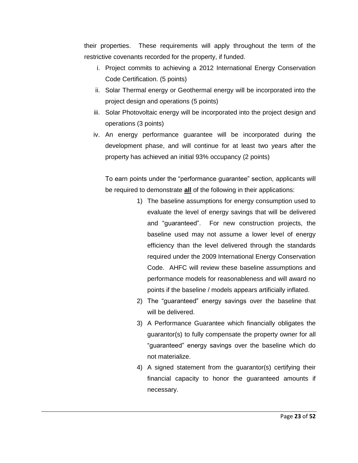their properties. These requirements will apply throughout the term of the restrictive covenants recorded for the property, if funded.

- i. Project commits to achieving a 2012 International Energy Conservation Code Certification. (5 points)
- ii. Solar Thermal energy or Geothermal energy will be incorporated into the project design and operations (5 points)
- iii. Solar Photovoltaic energy will be incorporated into the project design and operations (3 points)
- iv. An energy performance guarantee will be incorporated during the development phase, and will continue for at least two years after the property has achieved an initial 93% occupancy (2 points)

To earn points under the "performance guarantee" section, applicants will be required to demonstrate **all** of the following in their applications:

- 1) The baseline assumptions for energy consumption used to evaluate the level of energy savings that will be delivered and "guaranteed". For new construction projects, the baseline used may not assume a lower level of energy efficiency than the level delivered through the standards required under the 2009 International Energy Conservation Code. AHFC will review these baseline assumptions and performance models for reasonableness and will award no points if the baseline / models appears artificially inflated.
- 2) The "guaranteed" energy savings over the baseline that will be delivered.
- 3) A Performance Guarantee which financially obligates the guarantor(s) to fully compensate the property owner for all "guaranteed" energy savings over the baseline which do not materialize.
- 4) A signed statement from the guarantor(s) certifying their financial capacity to honor the guaranteed amounts if necessary.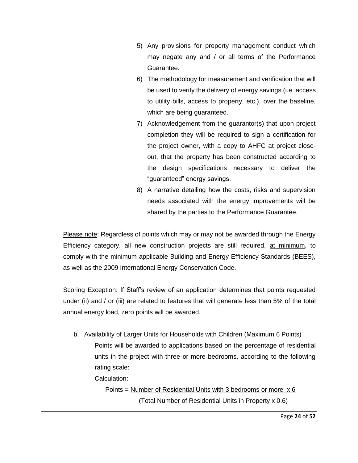- 5) Any provisions for property management conduct which may negate any and / or all terms of the Performance Guarantee.
- 6) The methodology for measurement and verification that will be used to verify the delivery of energy savings (i.e. access to utility bills, access to property, etc.), over the baseline, which are being guaranteed.
- 7) Acknowledgement from the guarantor(s) that upon project completion they will be required to sign a certification for the project owner, with a copy to AHFC at project closeout, that the property has been constructed according to the design specifications necessary to deliver the "guaranteed" energy savings.
- 8) A narrative detailing how the costs, risks and supervision needs associated with the energy improvements will be shared by the parties to the Performance Guarantee.

Please note: Regardless of points which may or may not be awarded through the Energy Efficiency category, all new construction projects are still required, at minimum, to comply with the minimum applicable Building and Energy Efficiency Standards (BEES), as well as the 2009 International Energy Conservation Code.

Scoring Exception: If Staff's review of an application determines that points requested under (ii) and / or (iii) are related to features that will generate less than 5% of the total annual energy load, zero points will be awarded.

b. Availability of Larger Units for Households with Children (Maximum 6 Points)

Points will be awarded to applications based on the percentage of residential units in the project with three or more bedrooms, according to the following rating scale:

Calculation:

Points = Number of Residential Units with 3 bedrooms or more  $x 6$ (Total Number of Residential Units in Property x 0.6)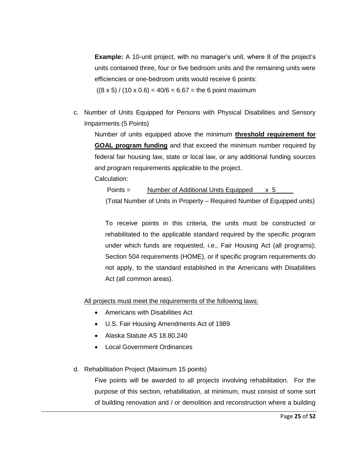**Example:** A 10-unit project, with no manager's unit, where 8 of the project's units contained three, four or five bedroom units and the remaining units were efficiencies or one-bedroom units would receive 6 points:

 $((8 \times 5) / (10 \times 0.6) = 40/6 = 6.67 =$  the 6 point maximum

c. Number of Units Equipped for Persons with Physical Disabilities and Sensory Impairments (5 Points)

Number of units equipped above the minimum **threshold requirement for GOAL program funding** and that exceed the minimum number required by federal fair housing law, state or local law, or any additional funding sources and program requirements applicable to the project. Calculation:

Points = Number of Additional Units Equipped x 5 (Total Number of Units in Property – Required Number of Equipped units)

To receive points in this criteria, the units must be constructed or rehabilitated to the applicable standard required by the specific program under which funds are requested, i.e., Fair Housing Act (all programs); Section 504 requirements (HOME), or if specific program requirements do not apply, to the standard established in the Americans with Disabilities Act (all common areas).

All projects must meet the requirements of the following laws:

- Americans with Disabilities Act
- U.S. Fair Housing Amendments Act of 1989
- Alaska Statute AS 18.80.240
- Local Government Ordinances
- d. Rehabilitation Project (Maximum 15 points)

Five points will be awarded to all projects involving rehabilitation. For the purpose of this section, rehabilitation, at minimum, must consist of some sort of building renovation and / or demolition and reconstruction where a building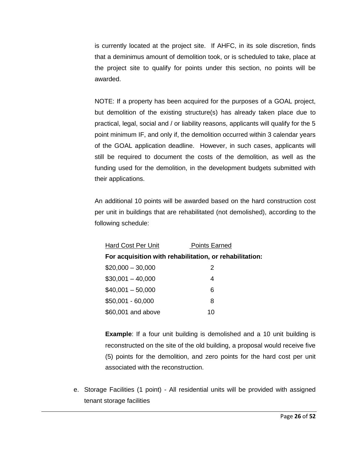is currently located at the project site. If AHFC, in its sole discretion, finds that a deminimus amount of demolition took, or is scheduled to take, place at the project site to qualify for points under this section, no points will be awarded.

NOTE: If a property has been acquired for the purposes of a GOAL project, but demolition of the existing structure(s) has already taken place due to practical, legal, social and / or liability reasons, applicants will qualify for the 5 point minimum IF, and only if, the demolition occurred within 3 calendar years of the GOAL application deadline. However, in such cases, applicants will still be required to document the costs of the demolition, as well as the funding used for the demolition, in the development budgets submitted with their applications.

An additional 10 points will be awarded based on the hard construction cost per unit in buildings that are rehabilitated (not demolished), according to the following schedule:

| <b>Hard Cost Per Unit</b>                               | <b>Points Earned</b> |
|---------------------------------------------------------|----------------------|
| For acquisition with rehabilitation, or rehabilitation: |                      |
| $$20,000 - 30,000$                                      | 2                    |
| $$30,001 - 40,000$                                      | 4                    |
| $$40,001 - 50,000$                                      | 6                    |
| $$50,001 - 60,000$                                      | 8                    |
| \$60,001 and above                                      | 10                   |

**Example:** If a four unit building is demolished and a 10 unit building is reconstructed on the site of the old building, a proposal would receive five (5) points for the demolition, and zero points for the hard cost per unit associated with the reconstruction.

e. Storage Facilities (1 point) - All residential units will be provided with assigned tenant storage facilities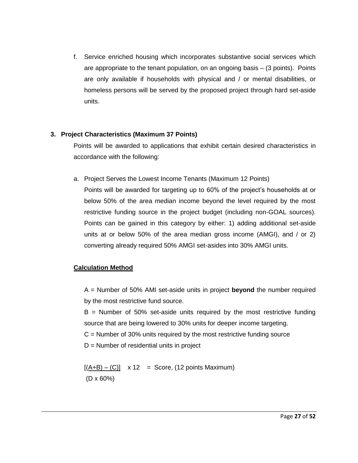f. Service enriched housing which incorporates substantive social services which are appropriate to the tenant population, on an ongoing basis – (3 points). Points are only available if households with physical and / or mental disabilities, or homeless persons will be served by the proposed project through hard set-aside units.

#### **3. Project Characteristics (Maximum 37 Points)**

Points will be awarded to applications that exhibit certain desired characteristics in accordance with the following:

a. Project Serves the Lowest Income Tenants (Maximum 12 Points)

Points will be awarded for targeting up to 60% of the project's households at or below 50% of the area median income beyond the level required by the most restrictive funding source in the project budget (including non-GOAL sources). Points can be gained in this category by either: 1) adding additional set-aside units at or below 50% of the area median gross income (AMGI), and / or 2) converting already required 50% AMGI set-asides into 30% AMGI units.

#### **Calculation Method**

A = Number of 50% AMI set-aside units in project **beyond** the number required by the most restrictive fund source.

 $B =$  Number of 50% set-aside units required by the most restrictive funding source that are being lowered to 30% units for deeper income targeting.

 $C =$  Number of 30% units required by the most restrictive funding source

D = Number of residential units in project

 $[(A+B) - (C)]$  x 12 = Score, (12 points Maximum) (D x 60%)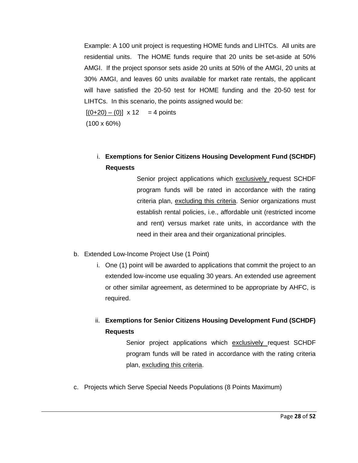Example: A 100 unit project is requesting HOME funds and LIHTCs. All units are residential units. The HOME funds require that 20 units be set-aside at 50% AMGI. If the project sponsor sets aside 20 units at 50% of the AMGI, 20 units at 30% AMGI, and leaves 60 units available for market rate rentals, the applicant will have satisfied the 20-50 test for HOME funding and the 20-50 test for LIHTCs. In this scenario, the points assigned would be:

 $[(0+20) - (0)] \times 12 = 4$  points

(100 x 60%)

i. **Exemptions for Senior Citizens Housing Development Fund (SCHDF) Requests** 

> Senior project applications which exclusively request SCHDF program funds will be rated in accordance with the rating criteria plan, excluding this criteria. Senior organizations must establish rental policies, i.e., affordable unit (restricted income and rent) versus market rate units, in accordance with the need in their area and their organizational principles.

- b. Extended Low-Income Project Use (1 Point)
	- i. One (1) point will be awarded to applications that commit the project to an extended low-income use equaling 30 years. An extended use agreement or other similar agreement, as determined to be appropriate by AHFC, is required.

ii. **Exemptions for Senior Citizens Housing Development Fund (SCHDF) Requests** 

> Senior project applications which exclusively request SCHDF program funds will be rated in accordance with the rating criteria plan, excluding this criteria.

c. Projects which Serve Special Needs Populations (8 Points Maximum)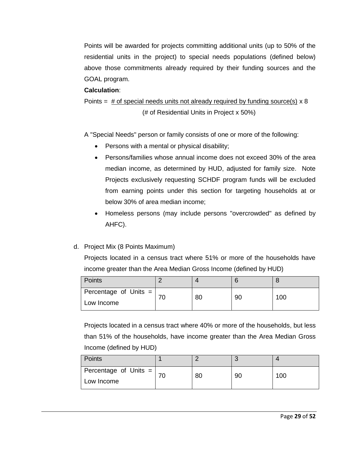Points will be awarded for projects committing additional units (up to 50% of the residential units in the project) to special needs populations (defined below) above those commitments already required by their funding sources and the GOAL program.

#### **Calculation**:

Points =  $\#$  of special needs units not already required by funding source(s)  $\times$  8 (# of Residential Units in Project x 50%)

A "Special Needs" person or family consists of one or more of the following:

- Persons with a mental or physical disability;
- Persons/families whose annual income does not exceed 30% of the area median income, as determined by HUD, adjusted for family size. Note Projects exclusively requesting SCHDF program funds will be excluded from earning points under this section for targeting households at or below 30% of area median income;
- Homeless persons (may include persons "overcrowded" as defined by AHFC).
- d. Project Mix (8 Points Maximum)

Projects located in a census tract where 51% or more of the households have income greater than the Area Median Gross Income (defined by HUD)

| Points                |    |    |     |
|-----------------------|----|----|-----|
| Percentage of Units = | 80 | 90 | 100 |
| Low Income            |    |    |     |

Projects located in a census tract where 40% or more of the households, but less than 51% of the households, have income greater than the Area Median Gross Income (defined by HUD)

| Points                                |    |    |     |
|---------------------------------------|----|----|-----|
| Percentage of Units $=$<br>Low Income | 80 | 90 | 100 |
|                                       |    |    |     |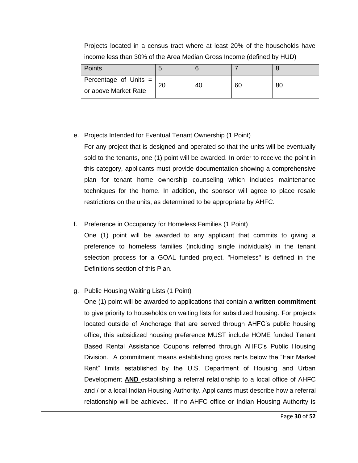| <b>Points</b>           |    |    |    |    |
|-------------------------|----|----|----|----|
| Percentage of Units $=$ | 20 | 40 | 60 | 80 |
| or above Market Rate    |    |    |    |    |

Projects located in a census tract where at least 20% of the households have income less than 30% of the Area Median Gross Income (defined by HUD)

#### e. Projects Intended for Eventual Tenant Ownership (1 Point)

For any project that is designed and operated so that the units will be eventually sold to the tenants, one (1) point will be awarded. In order to receive the point in this category, applicants must provide documentation showing a comprehensive plan for tenant home ownership counseling which includes maintenance techniques for the home. In addition, the sponsor will agree to place resale restrictions on the units, as determined to be appropriate by AHFC.

#### f. Preference in Occupancy for Homeless Families (1 Point)

One (1) point will be awarded to any applicant that commits to giving a preference to homeless families (including single individuals) in the tenant selection process for a GOAL funded project. "Homeless" is defined in the Definitions section of this Plan.

#### g. Public Housing Waiting Lists (1 Point)

One (1) point will be awarded to applications that contain a **written commitment**  to give priority to households on waiting lists for subsidized housing. For projects located outside of Anchorage that are served through AHFC's public housing office, this subsidized housing preference MUST include HOME funded Tenant Based Rental Assistance Coupons referred through AHFC's Public Housing Division. A commitment means establishing gross rents below the "Fair Market Rent" limits established by the U.S. Department of Housing and Urban Development **AND** establishing a referral relationship to a local office of AHFC and / or a local Indian Housing Authority. Applicants must describe how a referral relationship will be achieved. If no AHFC office or Indian Housing Authority is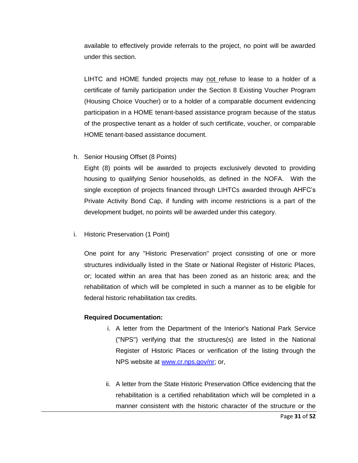available to effectively provide referrals to the project, no point will be awarded under this section.

LIHTC and HOME funded projects may not refuse to lease to a holder of a certificate of family participation under the Section 8 Existing Voucher Program (Housing Choice Voucher) or to a holder of a comparable document evidencing participation in a HOME tenant-based assistance program because of the status of the prospective tenant as a holder of such certificate, voucher, or comparable HOME tenant-based assistance document.

h. Senior Housing Offset (8 Points)

Eight (8) points will be awarded to projects exclusively devoted to providing housing to qualifying Senior households, as defined in the NOFA. With the single exception of projects financed through LIHTCs awarded through AHFC's Private Activity Bond Cap, if funding with income restrictions is a part of the development budget, no points will be awarded under this category.

i. Historic Preservation (1 Point)

One point for any "Historic Preservation" project consisting of one or more structures individually listed in the State or National Register of Historic Places, or; located within an area that has been zoned as an historic area; and the rehabilitation of which will be completed in such a manner as to be eligible for federal historic rehabilitation tax credits.

#### **Required Documentation:**

- i. A letter from the Department of the Interior's National Park Service ("NPS") verifying that the structures(s) are listed in the National Register of Historic Places or verification of the listing through the NPS website at [www.cr.nps.gov/nr;](http://www.cr.nps.gov/nr) or,
- ii. A letter from the State Historic Preservation Office evidencing that the rehabilitation is a certified rehabilitation which will be completed in a manner consistent with the historic character of the structure or the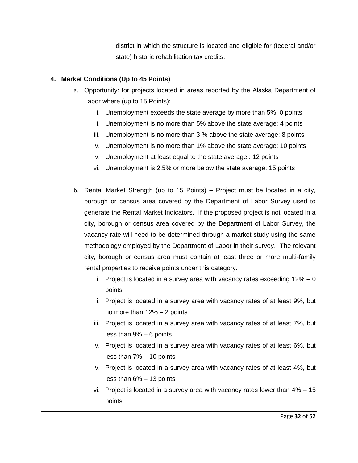district in which the structure is located and eligible for (federal and/or state) historic rehabilitation tax credits.

#### **4. Market Conditions (Up to 45 Points)**

- a. Opportunity: for projects located in areas reported by the Alaska Department of Labor where (up to 15 Points):
	- i. Unemployment exceeds the state average by more than 5%: 0 points
	- ii. Unemployment is no more than 5% above the state average: 4 points
	- iii. Unemployment is no more than 3 % above the state average: 8 points
	- iv. Unemployment is no more than 1% above the state average: 10 points
	- v. Unemployment at least equal to the state average : 12 points
	- vi. Unemployment is 2.5% or more below the state average: 15 points
- b. Rental Market Strength (up to 15 Points) Project must be located in a city, borough or census area covered by the Department of Labor Survey used to generate the Rental Market Indicators. If the proposed project is not located in a city, borough or census area covered by the Department of Labor Survey, the vacancy rate will need to be determined through a market study using the same methodology employed by the Department of Labor in their survey. The relevant city, borough or census area must contain at least three or more multi-family rental properties to receive points under this category.
	- i. Project is located in a survey area with vacancy rates exceeding  $12\% 0$ points
	- ii. Project is located in a survey area with vacancy rates of at least 9%, but no more than 12% – 2 points
	- iii. Project is located in a survey area with vacancy rates of at least 7%, but less than 9% – 6 points
	- iv. Project is located in a survey area with vacancy rates of at least 6%, but less than 7% – 10 points
	- v. Project is located in a survey area with vacancy rates of at least 4%, but less than 6% – 13 points
	- vi. Project is located in a survey area with vacancy rates lower than 4% 15 points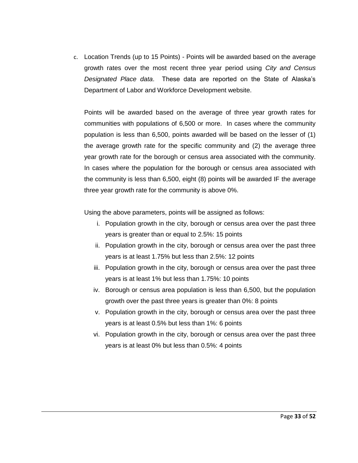c. Location Trends (up to 15 Points) - Points will be awarded based on the average growth rates over the most recent three year period using *City and Census Designated Place data*. These data are reported on the State of Alaska's Department of Labor and Workforce Development website.

Points will be awarded based on the average of three year growth rates for communities with populations of 6,500 or more. In cases where the community population is less than 6,500, points awarded will be based on the lesser of (1) the average growth rate for the specific community and (2) the average three year growth rate for the borough or census area associated with the community. In cases where the population for the borough or census area associated with the community is less than 6,500, eight (8) points will be awarded IF the average three year growth rate for the community is above 0%.

Using the above parameters, points will be assigned as follows:

- i. Population growth in the city, borough or census area over the past three years is greater than or equal to 2.5%: 15 points
- ii. Population growth in the city, borough or census area over the past three years is at least 1.75% but less than 2.5%: 12 points
- iii. Population growth in the city, borough or census area over the past three years is at least 1% but less than 1.75%: 10 points
- iv. Borough or census area population is less than 6,500, but the population growth over the past three years is greater than 0%: 8 points
- v. Population growth in the city, borough or census area over the past three years is at least 0.5% but less than 1%: 6 points
- vi. Population growth in the city, borough or census area over the past three years is at least 0% but less than 0.5%: 4 points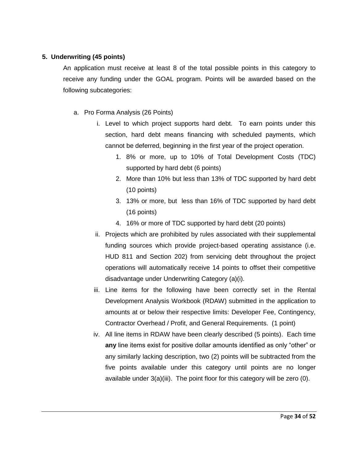#### **5. Underwriting (45 points)**

An application must receive at least 8 of the total possible points in this category to receive any funding under the GOAL program. Points will be awarded based on the following subcategories:

- a. Pro Forma Analysis (26 Points)
	- i. Level to which project supports hard debt. To earn points under this section, hard debt means financing with scheduled payments, which cannot be deferred, beginning in the first year of the project operation.
		- 1. 8% or more, up to 10% of Total Development Costs (TDC) supported by hard debt (6 points)
		- 2. More than 10% but less than 13% of TDC supported by hard debt (10 points)
		- 3. 13% or more, but less than 16% of TDC supported by hard debt (16 points)
		- 4. 16% or more of TDC supported by hard debt (20 points)
	- ii. Projects which are prohibited by rules associated with their supplemental funding sources which provide project-based operating assistance (i.e. HUD 811 and Section 202) from servicing debt throughout the project operations will automatically receive 14 points to offset their competitive disadvantage under Underwriting Category (a)(i).
	- iii. Line items for the following have been correctly set in the Rental Development Analysis Workbook (RDAW) submitted in the application to amounts at or below their respective limits: Developer Fee, Contingency, Contractor Overhead / Profit, and General Requirements. (1 point)
	- iv. All line items in RDAW have been clearly described (5 points). Each time **any** line items exist for positive dollar amounts identified as only "other" or any similarly lacking description, two (2) points will be subtracted from the five points available under this category until points are no longer available under 3(a)(iii). The point floor for this category will be zero (0).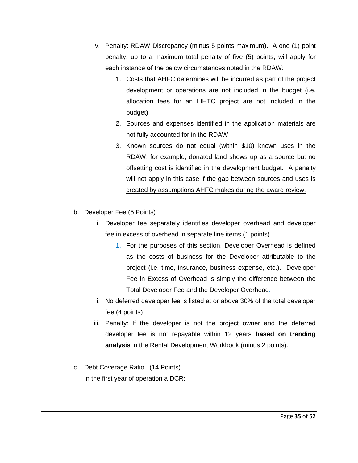- v. Penalty: RDAW Discrepancy (minus 5 points maximum). A one (1) point penalty, up to a maximum total penalty of five (5) points, will apply for each instance **of** the below circumstances noted in the RDAW:
	- 1. Costs that AHFC determines will be incurred as part of the project development or operations are not included in the budget (i.e. allocation fees for an LIHTC project are not included in the budget)
	- 2. Sources and expenses identified in the application materials are not fully accounted for in the RDAW
	- 3. Known sources do not equal (within \$10) known uses in the RDAW; for example, donated land shows up as a source but no offsetting cost is identified in the development budget. A penalty will not apply in this case if the gap between sources and uses is created by assumptions AHFC makes during the award review.
- b. Developer Fee (5 Points)
	- i. Developer fee separately identifies developer overhead and developer fee in excess of overhead in separate line items (1 points)
		- 1. For the purposes of this section, Developer Overhead is defined as the costs of business for the Developer attributable to the project (i.e. time, insurance, business expense, etc.). Developer Fee in Excess of Overhead is simply the difference between the Total Developer Fee and the Developer Overhead.
	- ii. No deferred developer fee is listed at or above 30% of the total developer fee (4 points)
	- iii. Penalty: If the developer is not the project owner and the deferred developer fee is not repayable within 12 years **based on trending analysis** in the Rental Development Workbook (minus 2 points).
- c. Debt Coverage Ratio (14 Points) In the first year of operation a DCR: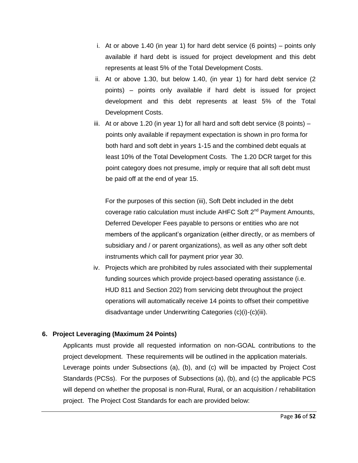- i. At or above 1.40 (in year 1) for hard debt service (6 points) points only available if hard debt is issued for project development and this debt represents at least 5% of the Total Development Costs.
- ii. At or above 1.30, but below 1.40, (in year 1) for hard debt service (2 points) – points only available if hard debt is issued for project development and this debt represents at least 5% of the Total Development Costs.
- iii. At or above 1.20 (in year 1) for all hard and soft debt service  $(8 \text{ points})$ points only available if repayment expectation is shown in pro forma for both hard and soft debt in years 1-15 and the combined debt equals at least 10% of the Total Development Costs. The 1.20 DCR target for this point category does not presume, imply or require that all soft debt must be paid off at the end of year 15.

For the purposes of this section (iii), Soft Debt included in the debt coverage ratio calculation must include AHFC Soft 2<sup>nd</sup> Payment Amounts, Deferred Developer Fees payable to persons or entities who are not members of the applicant's organization (either directly, or as members of subsidiary and / or parent organizations), as well as any other soft debt instruments which call for payment prior year 30.

iv. Projects which are prohibited by rules associated with their supplemental funding sources which provide project-based operating assistance (i.e. HUD 811 and Section 202) from servicing debt throughout the project operations will automatically receive 14 points to offset their competitive disadvantage under Underwriting Categories (c)(i)-(c)(iii).

#### **6. Project Leveraging (Maximum 24 Points)**

Applicants must provide all requested information on non-GOAL contributions to the project development. These requirements will be outlined in the application materials. Leverage points under Subsections (a), (b), and (c) will be impacted by Project Cost Standards (PCSs). For the purposes of Subsections (a), (b), and (c) the applicable PCS will depend on whether the proposal is non-Rural, Rural, or an acquisition / rehabilitation project. The Project Cost Standards for each are provided below: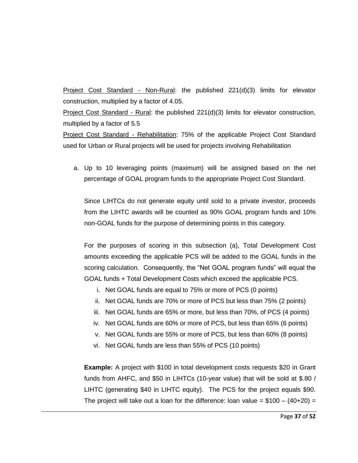Project Cost Standard - Non-Rural: the published 221(d)(3) limits for elevator construction, multiplied by a factor of 4.05.

Project Cost Standard - Rural: the published 221(d)(3) limits for elevator construction, multiplied by a factor of 5.5

Project Cost Standard - Rehabilitation: 75% of the applicable Project Cost Standard used for Urban or Rural projects will be used for projects involving Rehabilitation

a. Up to 10 leveraging points (maximum) will be assigned based on the net percentage of GOAL program funds to the appropriate Project Cost Standard.

Since LIHTCs do not generate equity until sold to a private investor, proceeds from the LIHTC awards will be counted as 90% GOAL program funds and 10% non-GOAL funds for the purpose of determining points in this category.

For the purposes of scoring in this subsection (a), Total Development Cost amounts exceeding the applicable PCS will be added to the GOAL funds in the scoring calculation. Consequently, the "Net GOAL program funds" will equal the GOAL funds + Total Development Costs which exceed the applicable PCS.

- i. Net GOAL funds are equal to 75% or more of PCS (0 points)
- ii. Net GOAL funds are 70% or more of PCS but less than 75% (2 points)
- iii. Net GOAL funds are 65% or more, but less than 70%, of PCS (4 points)
- iv. Net GOAL funds are 60% or more of PCS, but less than 65% (6 points)
- v. Net GOAL funds are 55% or more of PCS, but less than 60% (8 points)
- vi. Net GOAL funds are less than 55% of PCS (10 points)

**Example:** A project with \$100 in total development costs requests \$20 in Grant funds from AHFC, and \$50 in LIHTCs (10-year value) that will be sold at \$.80 / LIHTC (generating \$40 in LIHTC equity). The PCS for the project equals \$90. The project will take out a loan for the difference: loan value =  $$100 - (40+20) =$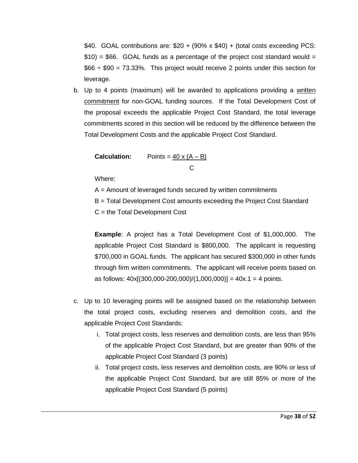\$40. GOAL contributions are: \$20 + (90% x \$40) + (total costs exceeding PCS:  $$10$ ) = \$66. GOAL funds as a percentage of the project cost standard would =  $$66 \div $90 = 73.33\%$ . This project would receive 2 points under this section for leverage.

b. Up to 4 points (maximum) will be awarded to applications providing a written commitment for non-GOAL funding sources. If the Total Development Cost of the proposal exceeds the applicable Project Cost Standard, the total leverage commitments scored in this section will be reduced by the difference between the Total Development Costs and the applicable Project Cost Standard.

**Calculation:** Points = 
$$
\frac{40 \times (A - B)}{C}
$$

Where:

 $A =$  Amount of leveraged funds secured by written commitments

B = Total Development Cost amounts exceeding the Project Cost Standard

C = the Total Development Cost

**Example**: A project has a Total Development Cost of \$1,000,000. The applicable Project Cost Standard is \$800,000. The applicant is requesting \$700,000 in GOAL funds. The applicant has secured \$300,000 in other funds through firm written commitments. The applicant will receive points based on as follows:  $40x[(300,000-200,000)/(1,000,000)] = 40x.1 = 4$  points.

- c. Up to 10 leveraging points will be assigned based on the relationship between the total project costs, excluding reserves and demolition costs, and the applicable Project Cost Standards:
	- i. Total project costs, less reserves and demolition costs, are less than 95% of the applicable Project Cost Standard, but are greater than 90% of the applicable Project Cost Standard (3 points)
	- ii. Total project costs, less reserves and demolition costs, are 90% or less of the applicable Project Cost Standard, but are still 85% or more of the applicable Project Cost Standard (5 points)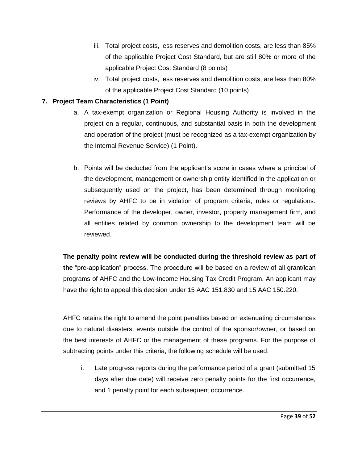- iii. Total project costs, less reserves and demolition costs, are less than 85% of the applicable Project Cost Standard, but are still 80% or more of the applicable Project Cost Standard (8 points)
- iv. Total project costs, less reserves and demolition costs, are less than 80% of the applicable Project Cost Standard (10 points)

#### **7. Project Team Characteristics (1 Point)**

- a. A tax-exempt organization or Regional Housing Authority is involved in the project on a regular, continuous, and substantial basis in both the development and operation of the project (must be recognized as a tax-exempt organization by the Internal Revenue Service) (1 Point).
- b. Points will be deducted from the applicant's score in cases where a principal of the development, management or ownership entity identified in the application or subsequently used on the project, has been determined through monitoring reviews by AHFC to be in violation of program criteria, rules or regulations. Performance of the developer, owner, investor, property management firm, and all entities related by common ownership to the development team will be reviewed.

**The penalty point review will be conducted during the threshold review as part of the** "pre**-**application" process. The procedure will be based on a review of all grant/loan programs of AHFC and the Low-Income Housing Tax Credit Program. An applicant may have the right to appeal this decision under 15 AAC 151.830 and 15 AAC 150.220.

AHFC retains the right to amend the point penalties based on extenuating circumstances due to natural disasters, events outside the control of the sponsor/owner, or based on the best interests of AHFC or the management of these programs. For the purpose of subtracting points under this criteria, the following schedule will be used:

i. Late progress reports during the performance period of a grant (submitted 15 days after due date) will receive zero penalty points for the first occurrence, and 1 penalty point for each subsequent occurrence.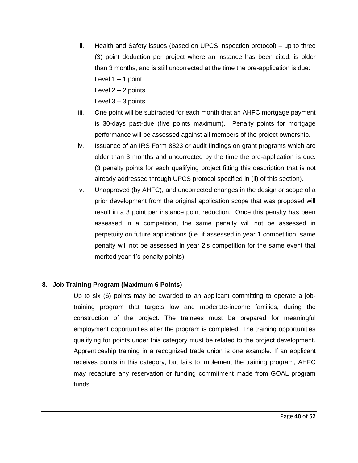- ii. Health and Safety issues (based on UPCS inspection protocol) up to three (3) point deduction per project where an instance has been cited, is older than 3 months, and is still uncorrected at the time the pre-application is due: Level  $1 - 1$  point Level 2 – 2 points
	- Level  $3 3$  points
- iii. One point will be subtracted for each month that an AHFC mortgage payment is 30-days past-due (five points maximum). Penalty points for mortgage performance will be assessed against all members of the project ownership.
- iv. Issuance of an IRS Form 8823 or audit findings on grant programs which are older than 3 months and uncorrected by the time the pre-application is due. (3 penalty points for each qualifying project fitting this description that is not already addressed through UPCS protocol specified in (ii) of this section).
- v. Unapproved (by AHFC), and uncorrected changes in the design or scope of a prior development from the original application scope that was proposed will result in a 3 point per instance point reduction. Once this penalty has been assessed in a competition, the same penalty will not be assessed in perpetuity on future applications (i.e. if assessed in year 1 competition, same penalty will not be assessed in year 2's competition for the same event that merited year 1's penalty points).

#### **8. Job Training Program (Maximum 6 Points)**

Up to six (6) points may be awarded to an applicant committing to operate a jobtraining program that targets low and moderate-income families, during the construction of the project. The trainees must be prepared for meaningful employment opportunities after the program is completed. The training opportunities qualifying for points under this category must be related to the project development. Apprenticeship training in a recognized trade union is one example. If an applicant receives points in this category, but fails to implement the training program, AHFC may recapture any reservation or funding commitment made from GOAL program funds.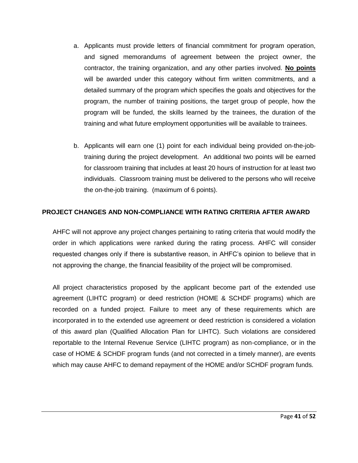- a. Applicants must provide letters of financial commitment for program operation, and signed memorandums of agreement between the project owner, the contractor, the training organization, and any other parties involved. **No points**  will be awarded under this category without firm written commitments, and a detailed summary of the program which specifies the goals and objectives for the program, the number of training positions, the target group of people, how the program will be funded, the skills learned by the trainees, the duration of the training and what future employment opportunities will be available to trainees.
- b. Applicants will earn one (1) point for each individual being provided on-the-jobtraining during the project development. An additional two points will be earned for classroom training that includes at least 20 hours of instruction for at least two individuals. Classroom training must be delivered to the persons who will receive the on-the-job training. (maximum of 6 points).

#### **PROJECT CHANGES AND NON-COMPLIANCE WITH RATING CRITERIA AFTER AWARD**

AHFC will not approve any project changes pertaining to rating criteria that would modify the order in which applications were ranked during the rating process. AHFC will consider requested changes only if there is substantive reason, in AHFC's opinion to believe that in not approving the change, the financial feasibility of the project will be compromised.

All project characteristics proposed by the applicant become part of the extended use agreement (LIHTC program) or deed restriction (HOME & SCHDF programs) which are recorded on a funded project. Failure to meet any of these requirements which are incorporated in to the extended use agreement or deed restriction is considered a violation of this award plan (Qualified Allocation Plan for LIHTC). Such violations are considered reportable to the Internal Revenue Service (LIHTC program) as non-compliance, or in the case of HOME & SCHDF program funds (and not corrected in a timely manner), are events which may cause AHFC to demand repayment of the HOME and/or SCHDF program funds.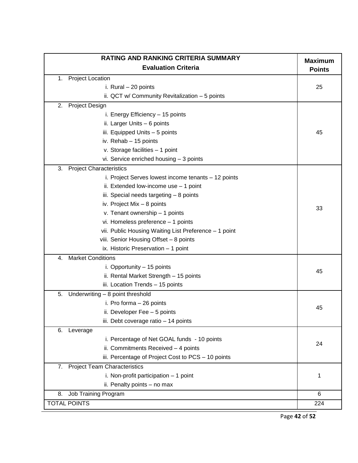| RATING AND RANKING CRITERIA SUMMARY                   | <b>Maximum</b> |  |  |
|-------------------------------------------------------|----------------|--|--|
| <b>Evaluation Criteria</b>                            |                |  |  |
| <b>Project Location</b><br>1.                         |                |  |  |
| i. Rural - 20 points                                  | 25             |  |  |
| ii. QCT w/ Community Revitalization - 5 points        |                |  |  |
| 2.<br><b>Project Design</b>                           |                |  |  |
| i. Energy Efficiency - 15 points                      |                |  |  |
| ii. Larger Units - 6 points                           |                |  |  |
| iii. Equipped Units - 5 points                        | 45             |  |  |
| iv. Rehab - 15 points                                 |                |  |  |
| v. Storage facilities - 1 point                       |                |  |  |
| vi. Service enriched housing - 3 points               |                |  |  |
| <b>Project Characteristics</b><br>3.                  |                |  |  |
| i. Project Serves lowest income tenants - 12 points   |                |  |  |
| ii. Extended low-income use - 1 point                 |                |  |  |
| iii. Special needs targeting - 8 points               |                |  |  |
| iv. Project Mix $-8$ points                           |                |  |  |
| v. Tenant ownership - 1 points                        | 33             |  |  |
| vi. Homeless preference - 1 points                    |                |  |  |
| vii. Public Housing Waiting List Preference - 1 point |                |  |  |
| viii. Senior Housing Offset - 8 points                |                |  |  |
| ix. Historic Preservation - 1 point                   |                |  |  |
| <b>Market Conditions</b><br>4.                        |                |  |  |
| i. Opportunity - 15 points                            |                |  |  |
| ii. Rental Market Strength - 15 points                | 45             |  |  |
| iii. Location Trends - 15 points                      |                |  |  |
| Underwriting - 8 point threshold<br>5.                |                |  |  |
| i. Pro forma - 26 points                              |                |  |  |
| ii. Developer Fee - 5 points                          | 45             |  |  |
| iii. Debt coverage ratio - 14 points                  |                |  |  |
| Leverage<br>6.                                        |                |  |  |
| i. Percentage of Net GOAL funds - 10 points           |                |  |  |
| ii. Commitments Received - 4 points                   | 24             |  |  |
| iii. Percentage of Project Cost to PCS - 10 points    |                |  |  |
| <b>Project Team Characteristics</b><br>7.             |                |  |  |
| i. Non-profit participation $-1$ point                | 1              |  |  |
| ii. Penalty points - no max                           |                |  |  |
| Job Training Program<br>8.                            | 6              |  |  |
| <b>TOTAL POINTS</b>                                   | 224            |  |  |

Page **42** of **52**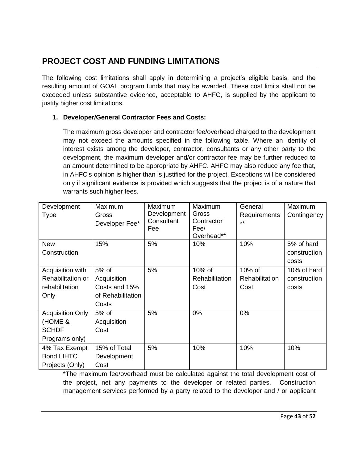## **PROJECT COST AND FUNDING LIMITATIONS**

The following cost limitations shall apply in determining a project's eligible basis, and the resulting amount of GOAL program funds that may be awarded. These cost limits shall not be exceeded unless substantive evidence, acceptable to AHFC, is supplied by the applicant to justify higher cost limitations.

#### **1. Developer/General Contractor Fees and Costs:**

The maximum gross developer and contractor fee/overhead charged to the development may not exceed the amounts specified in the following table. Where an identity of interest exists among the developer, contractor, consultants or any other party to the development, the maximum developer and/or contractor fee may be further reduced to an amount determined to be appropriate by AHFC. AHFC may also reduce any fee that, in AHFC's opinion is higher than is justified for the project. Exceptions will be considered only if significant evidence is provided which suggests that the project is of a nature that warrants such higher fees.

| Development             | Maximum                 | Maximum                   | Maximum               | General               | Maximum      |
|-------------------------|-------------------------|---------------------------|-----------------------|-----------------------|--------------|
| Type                    | Gross<br>Developer Fee* | Development<br>Consultant | Gross<br>Contractor   | Requirements<br>$***$ | Contingency  |
|                         |                         | Fee                       | Fee/                  |                       |              |
|                         |                         |                           | Overhead**            |                       |              |
| <b>New</b>              | 15%                     | 5%                        | 10%                   | 10%                   | 5% of hard   |
| Construction            |                         |                           |                       |                       | construction |
|                         |                         |                           |                       |                       | costs        |
| Acquisition with        | 5% of                   | 5%                        | $10\%$ of             | $10\%$ of             | 10% of hard  |
| Rehabilitation or       | Acquisition             |                           | <b>Rehabilitation</b> | <b>Rehabilitation</b> | construction |
| rehabilitation          | Costs and 15%           |                           | Cost                  | Cost                  | costs        |
| Only                    | of Rehabilitation       |                           |                       |                       |              |
|                         | Costs                   |                           |                       |                       |              |
| <b>Acquisition Only</b> | 5% of                   | 5%                        | 0%                    | 0%                    |              |
| (HOME &                 | Acquisition             |                           |                       |                       |              |
| <b>SCHDF</b>            | Cost                    |                           |                       |                       |              |
| Programs only)          |                         |                           |                       |                       |              |
| 4% Tax Exempt           | 15% of Total            | 5%                        | 10%                   | 10%                   | 10%          |
| <b>Bond LIHTC</b>       | Development             |                           |                       |                       |              |
| Projects (Only)         | Cost                    |                           |                       |                       |              |

\*The maximum fee/overhead must be calculated against the total development cost of the project, net any payments to the developer or related parties. Construction management services performed by a party related to the developer and / or applicant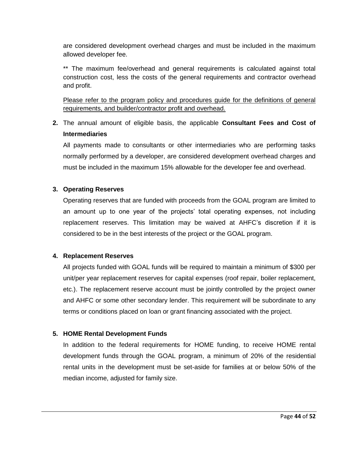are considered development overhead charges and must be included in the maximum allowed developer fee.

\*\* The maximum fee/overhead and general requirements is calculated against total construction cost, less the costs of the general requirements and contractor overhead and profit.

Please refer to the program policy and procedures guide for the definitions of general requirements, and builder/contractor profit and overhead.

**2.** The annual amount of eligible basis, the applicable **Consultant Fees and Cost of Intermediaries** 

All payments made to consultants or other intermediaries who are performing tasks normally performed by a developer, are considered development overhead charges and must be included in the maximum 15% allowable for the developer fee and overhead.

#### **3. Operating Reserves**

Operating reserves that are funded with proceeds from the GOAL program are limited to an amount up to one year of the projects' total operating expenses, not including replacement reserves. This limitation may be waived at AHFC's discretion if it is considered to be in the best interests of the project or the GOAL program.

#### **4. Replacement Reserves**

All projects funded with GOAL funds will be required to maintain a minimum of \$300 per unit/per year replacement reserves for capital expenses (roof repair, boiler replacement, etc.). The replacement reserve account must be jointly controlled by the project owner and AHFC or some other secondary lender. This requirement will be subordinate to any terms or conditions placed on loan or grant financing associated with the project.

#### **5. HOME Rental Development Funds**

In addition to the federal requirements for HOME funding, to receive HOME rental development funds through the GOAL program, a minimum of 20% of the residential rental units in the development must be set-aside for families at or below 50% of the median income, adjusted for family size.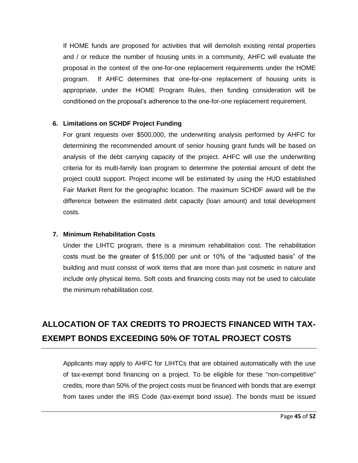If HOME funds are proposed for activities that will demolish existing rental properties and / or reduce the number of housing units in a community, AHFC will evaluate the proposal in the context of the one-for-one replacement requirements under the HOME program. If AHFC determines that one-for-one replacement of housing units is appropriate, under the HOME Program Rules, then funding consideration will be conditioned on the proposal's adherence to the one-for-one replacement requirement.

#### **6. Limitations on SCHDF Project Funding**

For grant requests over \$500,000, the underwriting analysis performed by AHFC for determining the recommended amount of senior housing grant funds will be based on analysis of the debt carrying capacity of the project. AHFC will use the underwriting criteria for its multi-family loan program to determine the potential amount of debt the project could support. Project income will be estimated by using the HUD established Fair Market Rent for the geographic location. The maximum SCHDF award will be the difference between the estimated debt capacity (loan amount) and total development costs*.* 

#### **7. Minimum Rehabilitation Costs**

Under the LIHTC program, there is a minimum rehabilitation cost. The rehabilitation costs must be the greater of \$15,000 per unit or 10% of the "adjusted basis" of the building and must consist of work items that are more than just cosmetic in nature and include only physical items. Soft costs and financing costs may not be used to calculate the minimum rehabilitation cost.

## **ALLOCATION OF TAX CREDITS TO PROJECTS FINANCED WITH TAX-EXEMPT BONDS EXCEEDING 50% OF TOTAL PROJECT COSTS**

Applicants may apply to AHFC for LIHTCs that are obtained automatically with the use of tax-exempt bond financing on a project. To be eligible for these "non-competitive" credits, more than 50% of the project costs must be financed with bonds that are exempt from taxes under the IRS Code (tax-exempt bond issue). The bonds must be issued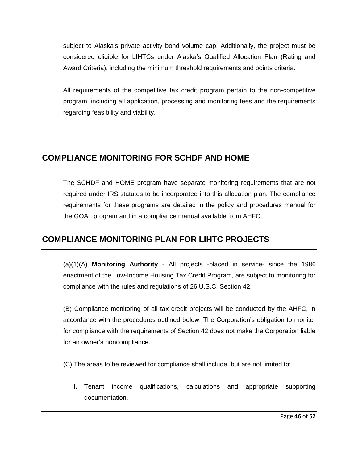subject to Alaska's private activity bond volume cap. Additionally, the project must be considered eligible for LIHTCs under Alaska's Qualified Allocation Plan (Rating and Award Criteria), including the minimum threshold requirements and points criteria.

All requirements of the competitive tax credit program pertain to the non-competitive program, including all application, processing and monitoring fees and the requirements regarding feasibility and viability.

## **COMPLIANCE MONITORING FOR SCHDF AND HOME**

The SCHDF and HOME program have separate monitoring requirements that are not required under IRS statutes to be incorporated into this allocation plan. The compliance requirements for these programs are detailed in the policy and procedures manual for the GOAL program and in a compliance manual available from AHFC.

## **COMPLIANCE MONITORING PLAN FOR LIHTC PROJECTS**

(a)(1)(A) **Monitoring Authority** - All projects -placed in service- since the 1986 enactment of the Low-Income Housing Tax Credit Program, are subject to monitoring for compliance with the rules and regulations of 26 U.S.C. Section 42.

(B) Compliance monitoring of all tax credit projects will be conducted by the AHFC, in accordance with the procedures outlined below. The Corporation's obligation to monitor for compliance with the requirements of Section 42 does not make the Corporation liable for an owner's noncompliance.

(C) The areas to be reviewed for compliance shall include, but are not limited to:

**i.** Tenant income qualifications, calculations and appropriate supporting documentation.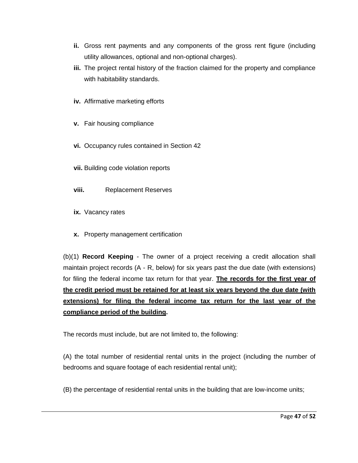- **ii.** Gross rent payments and any components of the gross rent figure (including utility allowances, optional and non-optional charges).
- **iii.** The project rental history of the fraction claimed for the property and compliance with habitability standards.
- **iv.** Affirmative marketing efforts
- **v.** Fair housing compliance
- **vi.** Occupancy rules contained in Section 42
- **vii.** Building code violation reports
- **viii.** Replacement Reserves
- **ix.** Vacancy rates
- **x.** Property management certification

(b)(1) **Record Keeping** - The owner of a project receiving a credit allocation shall maintain project records (A - R, below) for six years past the due date (with extensions) for filing the federal income tax return for that year. **The records for the first year of the credit period must be retained for at least six years beyond the due date (with extensions) for filing the federal income tax return for the last year of the compliance period of the building.** 

The records must include, but are not limited to, the following:

(A) the total number of residential rental units in the project (including the number of bedrooms and square footage of each residential rental unit);

(B) the percentage of residential rental units in the building that are low-income units;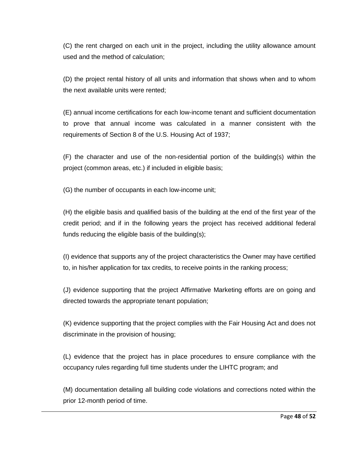(C) the rent charged on each unit in the project, including the utility allowance amount used and the method of calculation;

(D) the project rental history of all units and information that shows when and to whom the next available units were rented;

(E) annual income certifications for each low-income tenant and sufficient documentation to prove that annual income was calculated in a manner consistent with the requirements of Section 8 of the U.S. Housing Act of 1937;

(F) the character and use of the non-residential portion of the building(s) within the project (common areas, etc.) if included in eligible basis;

(G) the number of occupants in each low-income unit;

(H) the eligible basis and qualified basis of the building at the end of the first year of the credit period; and if in the following years the project has received additional federal funds reducing the eligible basis of the building(s);

(I) evidence that supports any of the project characteristics the Owner may have certified to, in his/her application for tax credits, to receive points in the ranking process;

(J) evidence supporting that the project Affirmative Marketing efforts are on going and directed towards the appropriate tenant population;

(K) evidence supporting that the project complies with the Fair Housing Act and does not discriminate in the provision of housing;

(L) evidence that the project has in place procedures to ensure compliance with the occupancy rules regarding full time students under the LIHTC program; and

(M) documentation detailing all building code violations and corrections noted within the prior 12-month period of time.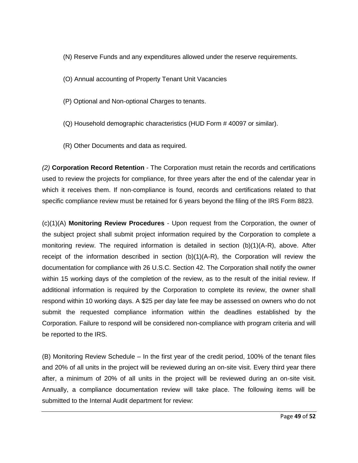(N) Reserve Funds and any expenditures allowed under the reserve requirements.

(O) Annual accounting of Property Tenant Unit Vacancies

(P) Optional and Non-optional Charges to tenants.

- (Q) Household demographic characteristics (HUD Form # 40097 or similar).
- (R) Other Documents and data as required.

*(2)* **Corporation Record Retention** - The Corporation must retain the records and certifications used to review the projects for compliance, for three years after the end of the calendar year in which it receives them. If non-compliance is found, records and certifications related to that specific compliance review must be retained for 6 years beyond the filing of the IRS Form 8823.

(c)(1)(A) **Monitoring Review Procedures** - Upon request from the Corporation, the owner of the subject project shall submit project information required by the Corporation to complete a monitoring review. The required information is detailed in section (b)(1)(A-R), above. After receipt of the information described in section  $(b)(1)(A-R)$ , the Corporation will review the documentation for compliance with 26 U.S.C. Section 42. The Corporation shall notify the owner within 15 working days of the completion of the review, as to the result of the initial review. If additional information is required by the Corporation to complete its review, the owner shall respond within 10 working days. A \$25 per day late fee may be assessed on owners who do not submit the requested compliance information within the deadlines established by the Corporation. Failure to respond will be considered non-compliance with program criteria and will be reported to the IRS.

(B) Monitoring Review Schedule – In the first year of the credit period, 100% of the tenant files and 20% of all units in the project will be reviewed during an on-site visit. Every third year there after, a minimum of 20% of all units in the project will be reviewed during an on-site visit. Annually, a compliance documentation review will take place. The following items will be submitted to the Internal Audit department for review: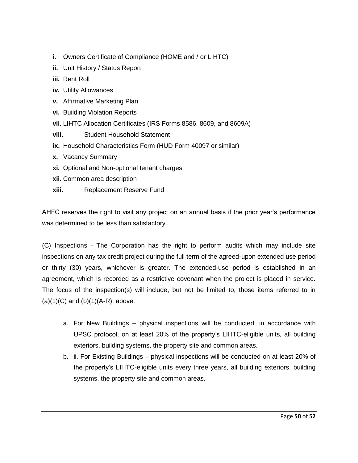- **i.** Owners Certificate of Compliance (HOME and / or LIHTC)
- **ii.** Unit History / Status Report
- **iii.** Rent Roll
- **iv.** Utility Allowances
- **v.** Affirmative Marketing Plan
- **vi.** Building Violation Reports
- **vii.** LIHTC Allocation Certificates (IRS Forms 8586, 8609, and 8609A)
- **viii.** Student Household Statement
- **ix.** Household Characteristics Form (HUD Form 40097 or similar)
- **x.** Vacancy Summary
- **xi.** Optional and Non-optional tenant charges
- **xii.** Common area description
- **xiii.** Replacement Reserve Fund

AHFC reserves the right to visit any project on an annual basis if the prior year's performance was determined to be less than satisfactory.

(C) Inspections - The Corporation has the right to perform audits which may include site inspections on any tax credit project during the full term of the agreed-upon extended use period or thirty (30) years, whichever is greater. The extended-use period is established in an agreement, which is recorded as a restrictive covenant when the project is placed in service. The focus of the inspection(s) will include, but not be limited to, those items referred to in  $(a)(1)(C)$  and  $(b)(1)(A-R)$ , above.

- a. For New Buildings physical inspections will be conducted, in accordance with UPSC protocol, on at least 20% of the property's LIHTC-eligible units, all building exteriors, building systems, the property site and common areas.
- b. ii. For Existing Buildings physical inspections will be conducted on at least 20% of the property's LIHTC-eligible units every three years, all building exteriors, building systems, the property site and common areas.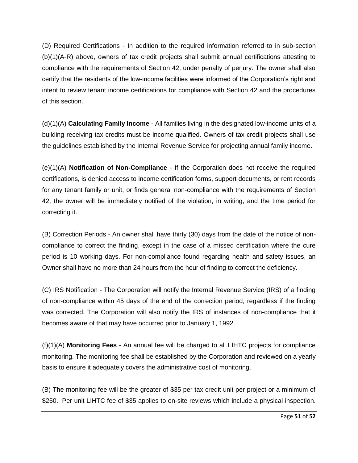(D) Required Certifications - In addition to the required information referred to in sub-section (b)(1)(A-R) above, owners of tax credit projects shall submit annual certifications attesting to compliance with the requirements of Section 42, under penalty of perjury. The owner shall also certify that the residents of the low-income facilities were informed of the Corporation's right and intent to review tenant income certifications for compliance with Section 42 and the procedures of this section.

(d)(1)(A) **Calculating Family Income** - All families living in the designated low-income units of a building receiving tax credits must be income qualified. Owners of tax credit projects shall use the guidelines established by the Internal Revenue Service for projecting annual family income.

(e)(1)(A) **Notification of Non-Compliance** - If the Corporation does not receive the required certifications, is denied access to income certification forms, support documents, or rent records for any tenant family or unit, or finds general non-compliance with the requirements of Section 42, the owner will be immediately notified of the violation, in writing, and the time period for correcting it.

(B) Correction Periods - An owner shall have thirty (30) days from the date of the notice of noncompliance to correct the finding, except in the case of a missed certification where the cure period is 10 working days. For non-compliance found regarding health and safety issues, an Owner shall have no more than 24 hours from the hour of finding to correct the deficiency.

(C) IRS Notification - The Corporation will notify the Internal Revenue Service (IRS) of a finding of non-compliance within 45 days of the end of the correction period, regardless if the finding was corrected. The Corporation will also notify the IRS of instances of non-compliance that it becomes aware of that may have occurred prior to January 1, 1992.

(f)(1)(A) **Monitoring Fees** - An annual fee will be charged to all LIHTC projects for compliance monitoring. The monitoring fee shall be established by the Corporation and reviewed on a yearly basis to ensure it adequately covers the administrative cost of monitoring.

(B) The monitoring fee will be the greater of \$35 per tax credit unit per project or a minimum of \$250. Per unit LIHTC fee of \$35 applies to on-site reviews which include a physical inspection.